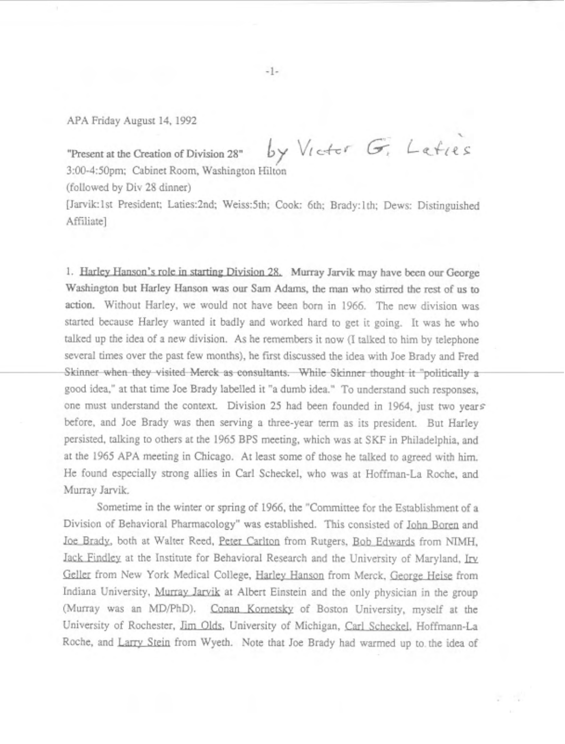## APA Friday August 14, 1992

Present at the Creation of Division 28" by Victor G. Leties 3:OO-450pm; Cabinet Room, Washington Hilton

(followed by Div 28 dinner)

[Jarvik:1st President; Laties:2nd; Weiss:5th; Cook: 6th; Brady:1th; Dews: Distinguished Affiliate]

1. Harley Hanson's role in starting Division 28. Murray Jarvik may have been our George Washington but Harley Hanson was our Sam Adams, the man who stirred the rest of us to action. Without Harley, we would not have been born in 1966. The new division was started because Harley wanted it badly and worked hard to get it going. It was he who talked up the idea of a new division. As he remembers it now (I talked to him by telephone several times over the past few months), he first discussed the idea with Joe Brady and Fred Skinner when they visited Merck as consultants. While Skinner thought it "politically a good idea," at that time Joe Brady labelled it "a dumb idea." To understand such responses, one must understand the context. Division 25 had been founded in 1964, just two years before, and Joe Brady was then serving a three-year term as its president. But Harley persisted, talking to others at the 1965 BPS meeting, which was at SKF in Philadelphia, and at the 1965 APA meeting in Chicago. At least some of those he talked to agreed with him. He found especially strong allies in Carl Scheckel, who was at Hoffman-La Roche, and Murray Jarvik.

Sometime in the winter or spring of 1966, the "Committee for the Establishment of a Division of Behavioral Pharmacology" was established. This consisted of John Boren and Joe Brady, both at Walter Reed, Peter Carlton from Rutgers, Bob Edwards from MMH, Jack Findley at the Institute for Behavioral Research and the University of Maryland, Irv Geller from New York Medical College, Harley Hanson from Merck, George Heise from Indiana University, Murray Jarvik at Albert Einstein and the only physician in the group (Murray was an MD/PhD). Conan Kornetsky of Boston University, myself at the University of Rochester, Jim Olds, University of Michigan, Carl Scheckel, Hoffmann-La Roche, and Larry Stein from Wyeth. Note that Joe Brady had warmed up to the idea of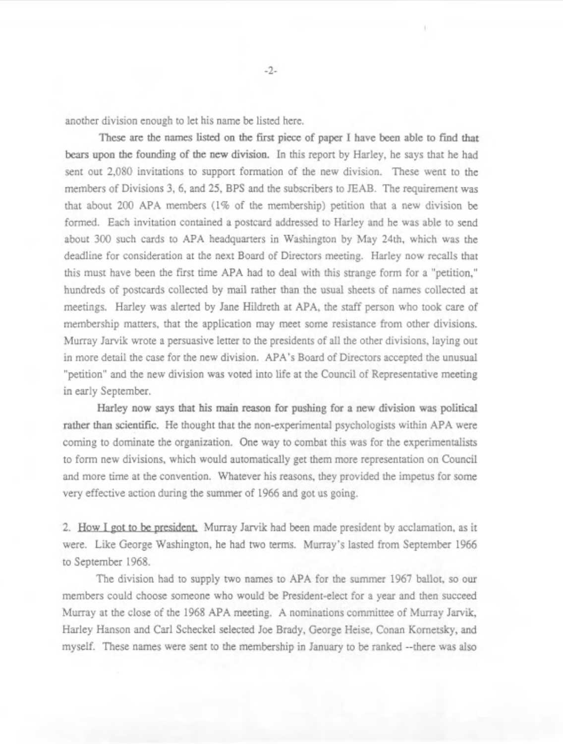another division enough to let his name be listed here.

These are the names listed on the first piece of paper I have been able to find that bears upon the founding of the new division. In this report by Harley, he says that he had sent out 2,080 invitations to support formation of the new division. These went to the members of Divisions 3, 6, and 25, BPS and the subscribers to JEAB. The requirement was that about 200 APA members (1% of the membership) petition that a new division be formed. Each invitation contained a postcard addressed to Harley and he was able to send about 300 such cards to APA headquarters in Washington by May 24th, which was the deadline for consideration at the next Board of Directors meeting. Harley now recalls that this must have been the first time APA had to deal with this strange form for a "petition," hundreds of postcards collected by mail rather than the usual sheets of names collected at meetings. Harley was alerted by Jane Hildreth at APA, the staff person who took care of membership matters, that the application may meet some resistance from other divisions. Murray Jarvik wrote a persuasive letter to the presidents of all the other divisions, laying out in more detail the case for the new division. APA's Board of Directors accepted the unusual "petition" and the new division was voted into life at the Council of Representative meeting in early September.

Harley now says that his main reason for pushing for a new division was political rather than scientific. He thought that the non-experimental psychologists within APA were coming to dominate the organization. One way to combat this was for the experimentalists to form new divisions, which would automatically get them more representation on Council and more time at the convention. Whatever his reasons, they provided the impetus for some very effective action during the summer of 1966 and got us going.

2. How I got to be president. Murray Jarvik had been made president by acclamation, as it were. Like George Washington, he had two terms. Murray's lasted from September 1966 to September 1968.

The division had to supply two names to APA for the summer 1967 ballot, so our members could choose someone who would be President-elect for a year and then succeed Murray at the close of the 1968 APA meeting. A nominations committee of Murray Jarvik, Harley Hanson and Carl Scheckel selected Joe Brady, George Heise, Conan Kornetsky, and myself. These names were sent to the membership in January to be ranked --there was also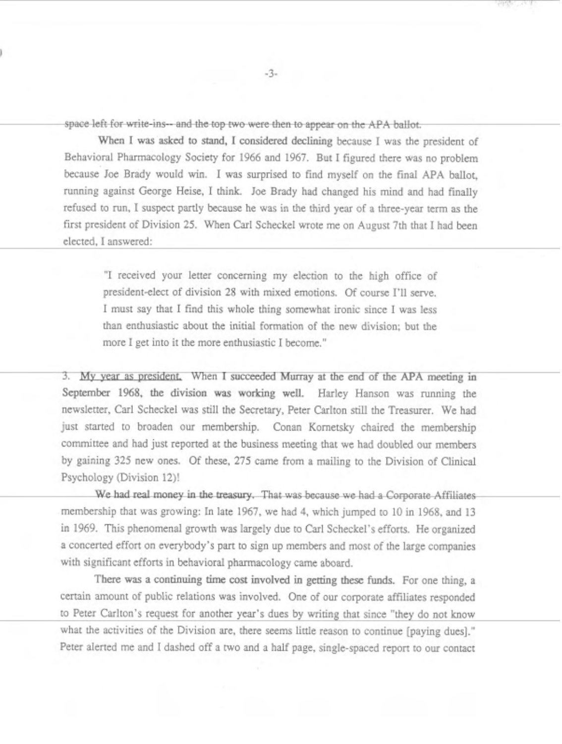space left for write-ins-- and the top two were then to appear on the APA ballot.

When I was asked to stand, I considered declining because I was the president of Behavioral Pharmacology Society for 1966 and 1967. But I figured there was no problem because Joe Brady would win. I was surprised to find myself on the final APA ballot, running against George Heise, I think. Joe Brady had changed his mind and had finally refused to run, I suspect partly because he was in the third year of a three-year term as the first president of Division 25. When Carl Scheckel wrote me on August 7th that I had been elected, I answered:

"I received your letter concerning my election to the high office of president-elect of division 28 with mixed emotions. Of course I'll serve. I must say that I find this whole thing somewhat ironic since I was less than enthusiastic about the initial formation of the new division; but the more I get into it the more enthusiastic I become."

3. My year as president, When I succeeded Murray at the end of the APA meeting in September 1968, the division was working well. Harley Hanson was running the newsletter, Carl Scheckel was still the Secretary, Peter Carlton still the Treasurer. We had just started to broaden our membership. Conan Kornetsky chaired the membership committee and had just reported at the business meeting that we had doubled our members by gaining 325 new ones. Of these, 275 came from a mailing to the Division of Clinical Psychology (Division 12)!

We had real money in the treasury. That was because we had a Corporate Affiliates membership that was growing: In late 1967, we had 4, which jumped to 10 in 1968, and 13 in 1969. This phenomenal growth was largely due to Carl Scheckel's efforts. He organized a concerted effort on everybody's part to sign up members and most of the large companies with significant efforts in behavioral pharmacology came aboard.

There was a continuing time cost involved in getting these funds. For one thing, a certain amount of public relations was involved. One of our corporate affiliates responded to Peter Carlton's request for another year's dues by writing that since "they do not know what the activities of the Division are, there seems little reason to continue [paying dues]." Peter alerted me and I dashed off a two and a half page, single-spaced report to our contact

 $-3-$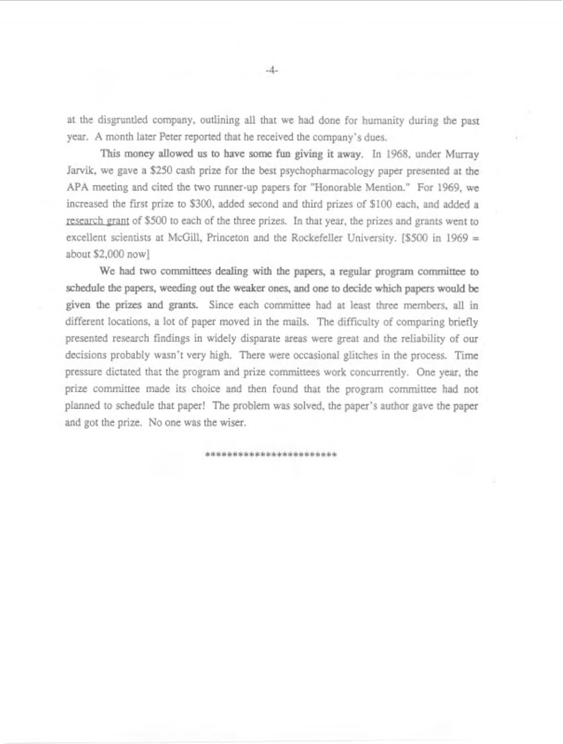at the disgruntled company, outlining all that we had done for humanity during the past year. A month later Peter reported that he received the company's dues.

This money allowed us to have some fun giving it away. In 1968, under Murray Jarvilk, we gave a \$250 cash prize for the best psychopharmacology paper presented at the APA meeting and cited the two runner-up papers for "Honorable Mention." For 1969, we increased the first prize to \$300, added second and third prizes of \$100 each, and added a research grant of \$500 to each of the three prizes. In that year, the prizes and grants went to excellent scientists at McGill, Princeton and the Rockefeller University. [\$500 in 1969 = about \$2,000 now]

We had two committees dealing with the papers, a regular program committee to schedule the papers, weeding out the weaker ones, and one to decide which papers would be given the prizes and grants. Since each committee had at least three members, all in different locations, a lot of paper moved in the mails. The difficulty of comparing briefly presented research findings in widely disparate areas were great and the reliability of our decisions probably wasn't very high. There were occasional glitches in the process. Time pressure dictated that the program and prize committees work concurrently. One year, the prize committee made its choice and then found that the program committee had not planned to schedule that paper! The problem was solved, the paper's author gave the paper and got the prize. No one was the wiser.

\*\*\*\*\*\*\*\*\*\*\*\*\*\*\*\*\*\*\*\*\*\*\*\*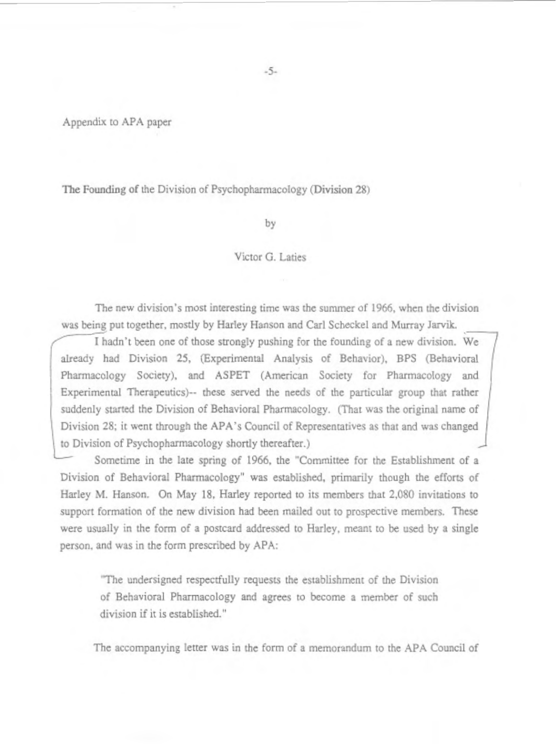Appendix to APA paper

The Founding of the Division of Psychopharmacology (Division 28)

by

## Victor G. Laties

The new division's most interesting time was the summer of 1966, when the division was being put together, mostly by Harley Hanson and Carl Scheckel and Murray Jarvik.<br>I hadn't been one of those strongly pushing for the founding of a new division. We

already had Division 25, (Experimental Analysis of Behavior), BPS (Behavioral Pharmacology Society), and ASPET (American Society for Pharmacology and Experimental Therapeutics)-- these served the needs of the particular group that rather suddenly started the Division of Behavioral Pharmacology. (That was the original name of Division 28; it went through the APA's Council of Representatives as that and was changed to Division of Psychopharmacology shortly thereafter.)

Sometime in the late spring of 1966, the "Committee for the Establishment of a Division of Behavioral Pharmacology" was established, primarily though the efforts of Harley M. Hanson. On May 18, Harley reported to its members that 2,080 invitations to support formation of the new division had been mailed out to prospective members. These were usually in the form of a postcard addressed to Harley, meant to be used by a single person, and was in the form prescribed by APA:

"The undersigned respectfully requests the establishment of the Division of Behavioral Pharmacology and agrees to become a member of such division if it is established."

The accompanying letter was in the form of a memorandum to the APA Council of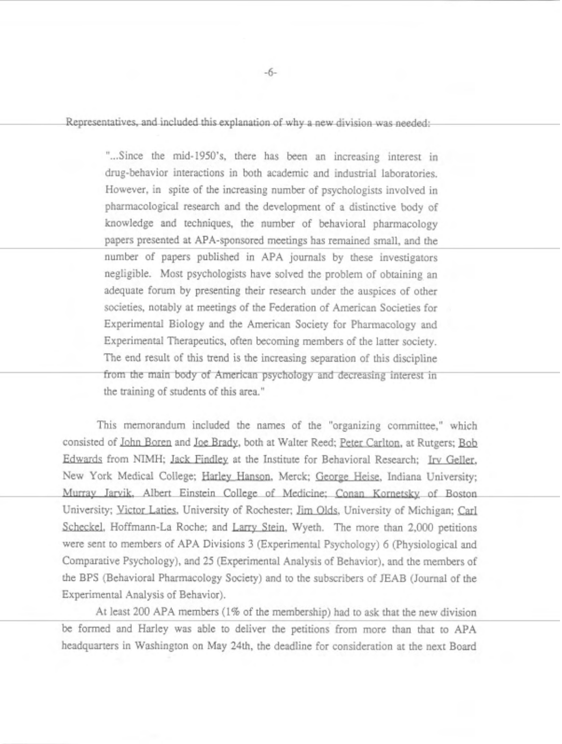Representatives, and included this explanation of why a new division was needed:

"...Since the mid-1950's, there has been an increasing interest in drug-behavior interactions in both academic and industrial laboratories. However, in spite of the increasing number of psychologists involved in pharmacological research and the development of a distinctive body of knowledge and techniques, the number of behavioral pharmacology papers presented at APA-sponsored meetings has remained small, and the number of papers published in APA journals by these investigators negligible. Most psychologists have solved the problem of obtaining an adequate forum by presenting their research under the auspices of other societies, notably at meetings of the Federation of American Societies for Experimental Biology and the American Society for Pharmacology and Experimental Therapeutics, often becoming members of the latter society. The end result of this trend is the increasing separation of this discipline from the main body of American psychology and decreasing interest in the training of students of this area."

This memorandum included the names of the "organizing committee," which consisted of John Boren and Joe Brady, both at Walter Reed; Peter Carlton, at Rutgers; Bob Edwards from NIMH; Jack Findley at the Institute for Behavioral Research; Irv Geller, New York Medical College; Harley Hanson, Merck; <u>George Heise</u>, Indiana University;<br>Murray Jarvik, Albert Einstein College of Medicine; <u>Conan Kornetsky</u> of Boston Murray Jarvik, Albert Einstein College of Medicine; Conan Kornetsky of Boston<br>University; Victor Laties, University of Rochester; Jim Olds, University of Michigan; Carl Scheckel, Hoffmann-La Roche; and Larry Stein, Wyeth. The more than 2,000 petitions were sent to members of APA Divisions 3 (Experimental Psychology) 6 (Physiological and Comparative Psychology), and 25 (Experimental Analysis of Behavior), and the members of the BE'S (Behavioral Pharmacology Society) and to the subscribers of JEAB (Journal of the Experimental Analysis of Behavior).

At least 200 APA members (1% of the membership) had to ask that the new division be formed and Harley was able to deliver the petitions from more than that to APA headquarters in Washington on May 24th, the deadline for consideration at the next Board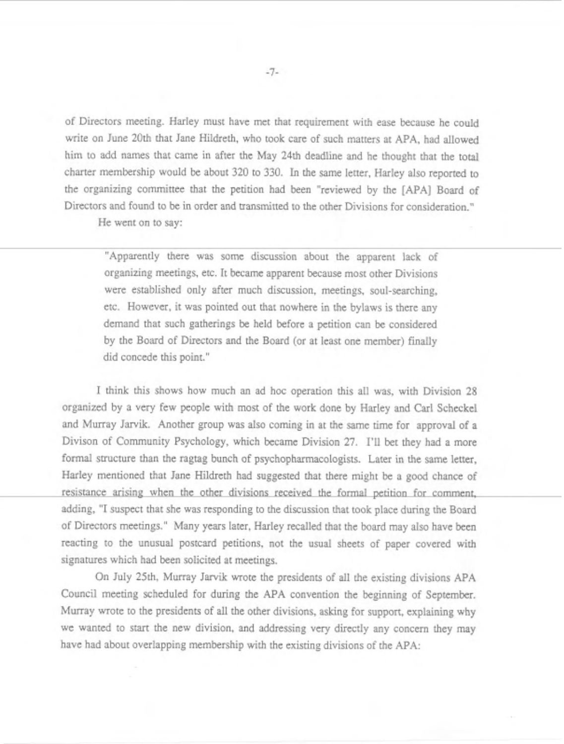of Directors meeting. Harley must have met that requirement with ease because he could write on June 20th that Jane Hildreth, who took care of such matters at APA, had allowed him to add names that came in after the May 24th deadline and he thought that the total charter membership would be about 320 to 330. In the same letter, Harley also reported to the organizing committee that the petition had been "reviewed by the [APA] Board of Directors and found to be in order and transmitted to the other Divisions for consideration."

He went on to say:

"Apparently there was some discussion about the apparent lack of organizing meetings, etc. It became apparent because most other Divisions were established only after much discussion, meetings, soul-searching, etc. However, it was pointed out that nowhere in the bylaws is there any demand that such gatherings be held before a petition can be considered by the Board of Directors and the Board (or at least one member) finally did concede this point."

I think this shows how much an ad hoc operation this all was, with Division 28 organized by a very few people with most of the work done by Harley and Carl Scheckel and Murray Jarvik. Another group was also coming in at the same time for approval of a Divison of Community Psychology, which became Division 27. 1'11 bet they had a more formal structure than the ragtag bunch of psychopharmacologists. Later in the same letter, Harley mentioned that Jane Hildreth had suggested that there might be a good chance of resistance arising when the other divisions received the formal petition for comment, adding, "I suspect that she was responding to the discussion that took place during the Board of Directors meetings." Many years later, Harley recalled that the board may also have been reacting to the unusual postcard petitions, not the usual sheets of paper covered with signatures which had been solicited at meetings.

On July 25th, Murray Jarvik wrote the presidents of all the existing divisions APA Council meeting scheduled for during the APA convention the beginning of September. Murray wrote to the presidents of all the other divisions, asking for support, explaining why we wanted to start the new division, and addressing very directly any concern they may have had about overlapping membership with the existing divisions of the APA: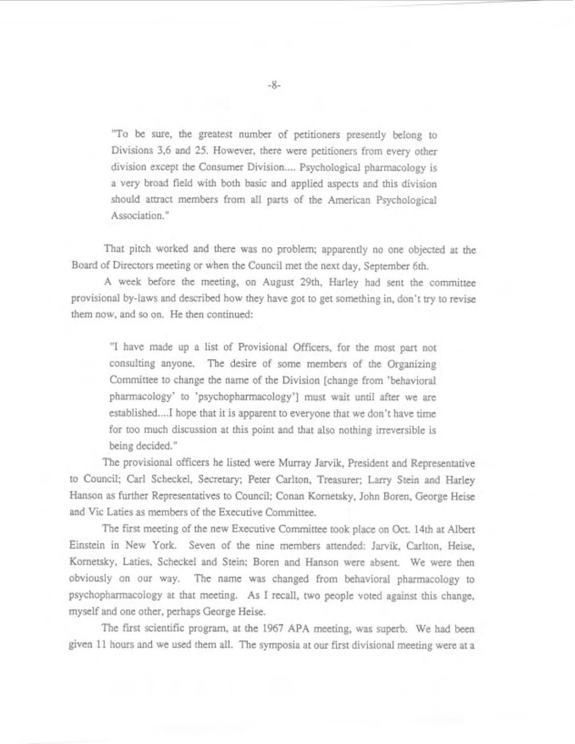"To be sure, the greatest number of petitioners presently belong to Divisions 3,6 and 25. However, there were petitioners from every other division except the Consumer Division.... Psychological pharmacology is a very broad field with both basic and applied aspects and this division should attract members from all parts of the American Psychological Association."

That pitch worked and there was no problem; apparently no one objected at the Board of Directors meeting or when the Council met the next day, September 6th.

A week before the meeting, on August 29th, Harley had sent the committee provisional by-laws and described how they have got to get something in, don't try to revise them now, and so on. He then continued:

"I have made up a list of Provisional Officers, for the most part not consulting anyone. The desire of some members of the Organizing Committee to change the name of the Division [change from 'behavioral pharmacology' to 'psychopharmacology'] must wait until after we are established....I hope that it is apparent to everyone that we don't have time for too much discussion at this point and that also nothing irreversible is being decided. "

'The provisional officers he listed were Murray Jarvik, President and Representative to Council; Carl Scheckel, Secretary; Peter Carlton, Treasurer; Larry Stein and Harley Hanson as further Representatives to Council; Conan Kornetsky, John Boren, George Heise and Vic Laties as members of the Executive Committee.

The first meeting of the new Executive Committee took place on Oct. 14th at Albert Einstein in New York. Seven of the nine members attended: Jarvik, Carlton, Heise, Kometsky, Laties, Scheckel and Stein; Boren and Hanson were absent. We were then obviously on our way. The name was changed from behavioral pharmacology to psychopharmacology at that meeting. **As** I recall, two people voted against this change, myself and one other, perhaps George Heise.

The first scientific program, at the 1967 APA meeting, was superb. We had been given 11 hours and we used them all. The symposia at our first divisional meeting were at a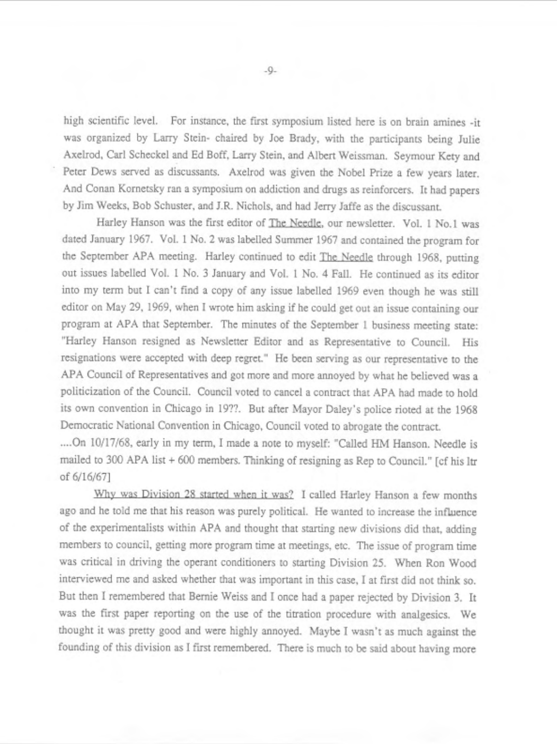high scientific level. For instance, the first symposium listed here is on brain amines -it was organized by Larry Stein- chaired by Joe Brady, with the participants being Julie Axelrod, Carl Scheckel and Ed Boff, Larry Stein, and Albert Weissman. Seymour Kety and Peter Dews served as discussants. Axelrod was given the Nobel Prize a few years later. And Conan Kornetsky ran a symposium on addiction and drugs as reinforcers. It had papers by Jim Weeks, Bob Schuster, and J.R. Nichols, and had Jerry Jaffe as the discussant.

Harley Hanson was the first editor of The Needle, our newsletter. Vol. 1 No.1 was dated January 1967. Vol. 1 No. *2* was labelled Summer 1967 and contained the program for the September APA meeting. Harley continued to edit The Needle through 1968, putting out issues labelled Vol. 1 No. 3 January and Vol. 1 No. 4 Fall. He continued as its editor into my term but I can't find a copy of any issue labelled 1969 even though he was still editor on May 29, 1969, when I wrote him asking if he could get out an issue containing our program at APA that September. The minutes of the September I business meeting state: "Harley Hanson resigned as Newsletter Editor and as Representative to Council. His resignations were accepted with deep regret." He been serving as our representative to the APA Council of Representatives and got more and more annoyed by what he believed was a politicization of the Council. Council voted to cancel a contract that APA had made to hold its own convention in Chicago in 19??. But after Mayor Daley's police rioted at the 1968 Democratic National Convention in Chicago, Council voted to abrogate the contract.

.... On 10/17/68, early in my term, I made a note to myself: "Called HM Hanson. Needle is mailed to 300 APA list + 600 members. Thinking of resigning as Rep to Council." [cf his ltr of 6/16/67]<br>Why was Division 28 started when it was? I called Harley Hanson a few months

ago and he told me that his reason was purely politicai. He wanted to increase the influence of the experimentalists within APA and thought that starting new divisions did that, adding members to council, getting more program time at meetings, etc. The issue of program time was critical in driving the operant conditioners to starting Division 25. When Ron Wood interviewed me and asked whether that was important in this case, I at first did not think so. But then I remembered that Bernie Weiss and I once had a paper rejected by Division 3. It was the first paper reporting on the use of the titration procedure with analgesics. We thought it was pretty good and were highly annoyed. Maybe I wasn't as much against the founding of this division as I first remembered. There is much to be said about having more